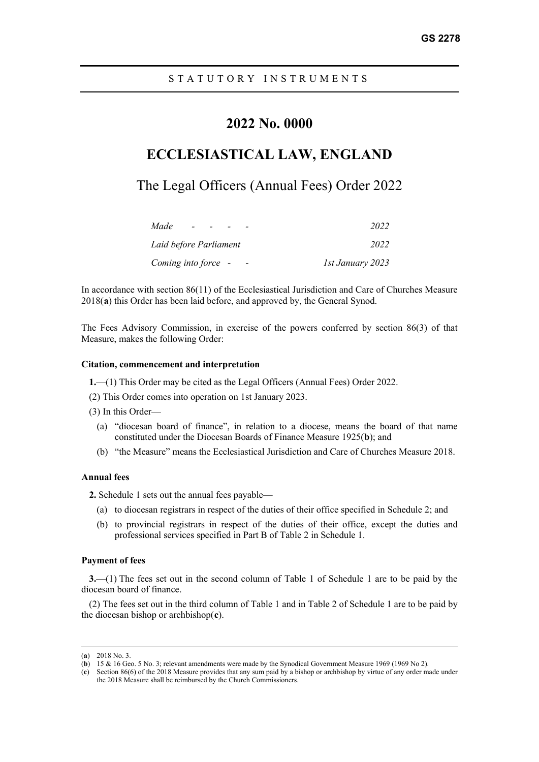# **2022 No. 0000**

# **ECCLESIASTICAL LAW, ENGLAND**

# The Legal Officers (Annual Fees) Order 2022

| Made                   | 2022             |
|------------------------|------------------|
| Laid before Parliament | 2022             |
| Coming into force -    | 1st January 2023 |

In accordance with section 86(11) of the Ecclesiastical Jurisdiction and Care of Churches Measure 2018(**[a](#page-0-0)**) this Order has been laid before, and approved by, the General Synod.

The Fees Advisory Commission, in exercise of the powers conferred by section 86(3) of that Measure, makes the following Order:

#### **Citation, commencement and interpretation**

**1.**—(1) This Order may be cited as the Legal Officers (Annual Fees) Order 2022.

- (2) This Order comes into operation on 1st January 2023.
- (3) In this Order—
	- (a) "diocesan board of finance", in relation to a diocese, means the board of that name constituted under the Diocesan Boards of Finance Measure 1925(**[b](#page-0-1)**); and
	- (b) "the Measure" means the Ecclesiastical Jurisdiction and Care of Churches Measure 2018.

#### **Annual fees**

**2.** Schedule 1 sets out the annual fees payable—

- (a) to diocesan registrars in respect of the duties of their office specified in Schedule 2; and
- (b) to provincial registrars in respect of the duties of their office, except the duties and professional services specified in Part B of Table 2 in Schedule 1.

#### **Payment of fees**

**3.**—(1) The fees set out in the second column of Table 1 of Schedule 1 are to be paid by the diocesan board of finance.

(2) The fees set out in the third column of Table 1 and in Table 2 of Schedule 1 are to be paid by the diocesan bishop or archbishop(**[c](#page-0-2)**).

<sup>(</sup>**a**) 2018 No. 3.

<span id="page-0-1"></span><span id="page-0-0"></span><sup>(</sup>**b**) 15 & 16 Geo. 5 No. 3; relevant amendments were made by the Synodical Government Measure 1969 (1969 No 2).

<span id="page-0-2"></span><sup>(</sup>**c**) Section 86(6) of the 2018 Measure provides that any sum paid by a bishop or archbishop by virtue of any order made under the 2018 Measure shall be reimbursed by the Church Commissioners.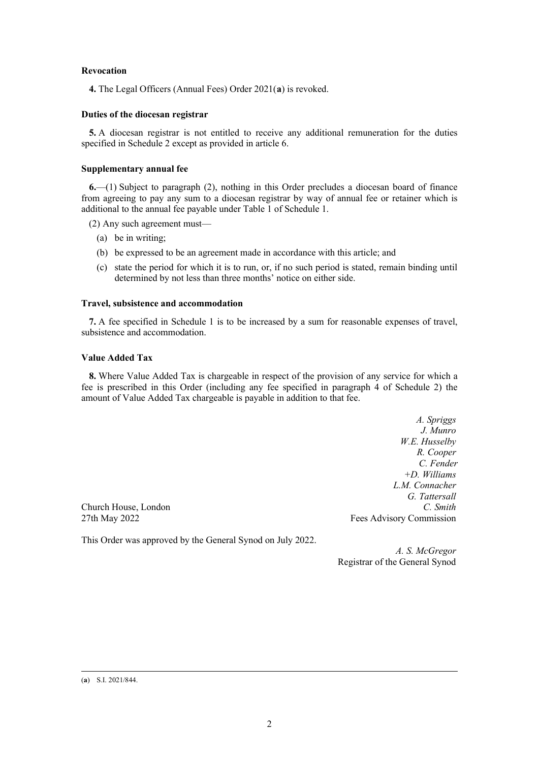### **Revocation**

**4.** The Legal Officers (Annual Fees) Order 2021(**[a](#page-1-0)**) is revoked.

## **Duties of the diocesan registrar**

**5.** A diocesan registrar is not entitled to receive any additional remuneration for the duties specified in Schedule 2 except as provided in article 6.

## **Supplementary annual fee**

**6.**—(1) Subject to paragraph (2), nothing in this Order precludes a diocesan board of finance from agreeing to pay any sum to a diocesan registrar by way of annual fee or retainer which is additional to the annual fee payable under Table 1 of Schedule 1.

(2) Any such agreement must—

- (a) be in writing;
- (b) be expressed to be an agreement made in accordance with this article; and
- (c) state the period for which it is to run, or, if no such period is stated, remain binding until determined by not less than three months' notice on either side.

### **Travel, subsistence and accommodation**

**7.** A fee specified in Schedule 1 is to be increased by a sum for reasonable expenses of travel, subsistence and accommodation.

## **Value Added Tax**

**8.** Where Value Added Tax is chargeable in respect of the provision of any service for which a fee is prescribed in this Order (including any fee specified in paragraph 4 of Schedule 2) the amount of Value Added Tax chargeable is payable in addition to that fee.

*A. Spriggs J. Munro W.E. Husselby R. Cooper C. Fender +D. Williams L.M. Connacher G. Tattersall* 27th May 2022 **Fees Advisory Commission** 

**Church House, London** 

<span id="page-1-0"></span>This Order was approved by the General Synod on July 2022.

*A. S. McGregor* Registrar of the General Synod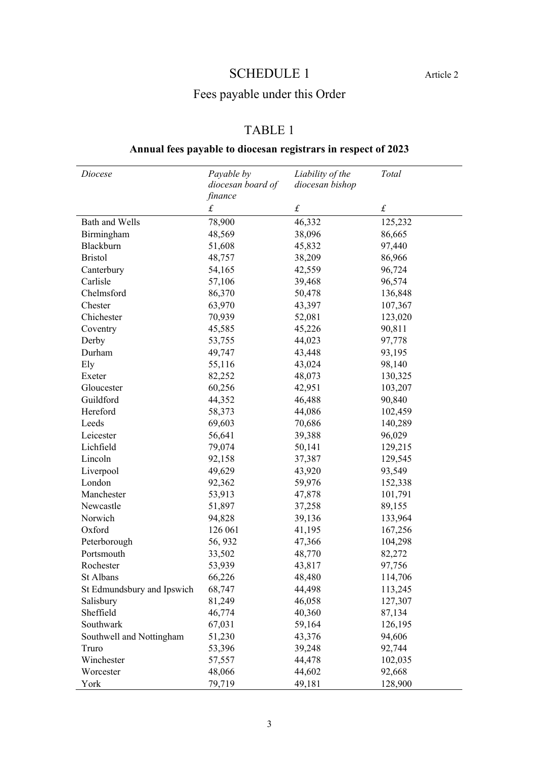# SCHEDULE 1 Article 2

# Fees payable under this Order

# TABLE 1

# **Annual fees payable to diocesan registrars in respect of 2023**

| Diocese                    | Payable by                   | Liability of the<br>diocesan bishop | Total     |
|----------------------------|------------------------------|-------------------------------------|-----------|
|                            | diocesan board of<br>finance |                                     |           |
|                            | $\pounds$                    | $\pounds$                           | $\pounds$ |
| Bath and Wells             | 78,900                       | 46,332                              | 125,232   |
| Birmingham                 | 48,569                       | 38,096                              | 86,665    |
| Blackburn                  | 51,608                       | 45,832                              | 97,440    |
| <b>Bristol</b>             | 48,757                       | 38,209                              | 86,966    |
| Canterbury                 | 54,165                       | 42,559                              | 96,724    |
| Carlisle                   | 57,106                       | 39,468                              | 96,574    |
| Chelmsford                 | 86,370                       | 50,478                              | 136,848   |
| Chester                    | 63,970                       | 43,397                              | 107,367   |
| Chichester                 | 70,939                       | 52,081                              | 123,020   |
| Coventry                   | 45,585                       | 45,226                              | 90,811    |
| Derby                      | 53,755                       | 44,023                              | 97,778    |
| Durham                     | 49,747                       | 43,448                              | 93,195    |
| Ely                        | 55,116                       | 43,024                              | 98,140    |
| Exeter                     | 82,252                       | 48,073                              | 130,325   |
| Gloucester                 | 60,256                       | 42,951                              | 103,207   |
| Guildford                  | 44,352                       | 46,488                              | 90,840    |
| Hereford                   | 58,373                       | 44,086                              | 102,459   |
| Leeds                      | 69,603                       | 70,686                              | 140,289   |
| Leicester                  | 56,641                       | 39,388                              | 96,029    |
| Lichfield                  | 79,074                       | 50,141                              | 129,215   |
| Lincoln                    | 92,158                       | 37,387                              | 129,545   |
| Liverpool                  | 49,629                       | 43,920                              | 93,549    |
| London                     | 92,362                       | 59,976                              | 152,338   |
| Manchester                 | 53,913                       | 47,878                              | 101,791   |
| Newcastle                  | 51,897                       | 37,258                              | 89,155    |
| Norwich                    | 94,828                       | 39,136                              | 133,964   |
| Oxford                     | 126 061                      | 41,195                              | 167,256   |
| Peterborough               | 56, 932                      | 47,366                              | 104,298   |
| Portsmouth                 | 33,502                       | 48,770                              | 82,272    |
| Rochester                  | 53,939                       | 43,817                              | 97,756    |
| St Albans                  | 66,226                       | 48,480                              | 114,706   |
| St Edmundsbury and Ipswich | 68,747                       | 44,498                              | 113,245   |
| Salisbury                  | 81,249                       | 46,058                              | 127,307   |
| Sheffield                  | 46,774                       | 40,360                              | 87,134    |
| Southwark                  | 67,031                       | 59,164                              | 126,195   |
| Southwell and Nottingham   | 51,230                       | 43,376                              | 94,606    |
| Truro                      | 53,396                       | 39,248                              | 92,744    |
| Winchester                 | 57,557                       | 44,478                              | 102,035   |
| Worcester                  | 48,066                       | 44,602                              | 92,668    |
| York                       | 79,719                       | 49,181                              | 128,900   |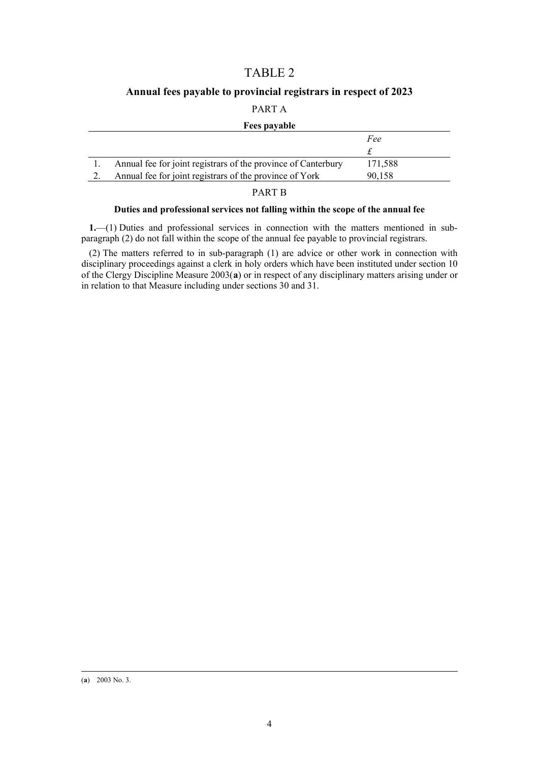## TABLE 2

## **Annual fees payable to provincial registrars in respect of 2023**

## PART A

### **Fees payable**

|                                                               | Fee     |
|---------------------------------------------------------------|---------|
|                                                               |         |
| Annual fee for joint registrars of the province of Canterbury | 171.588 |
| Annual fee for joint registrars of the province of York       | 90.158  |

### PART B

## **Duties and professional services not falling within the scope of the annual fee**

**1.**—(1) Duties and professional services in connection with the matters mentioned in subparagraph (2) do not fall within the scope of the annual fee payable to provincial registrars.

(2) The matters referred to in sub-paragraph (1) are advice or other work in connection with disciplinary proceedings against a clerk in holy orders which have been instituted under section 10 of the Clergy Discipline Measure 2003(**[a](#page-3-0)**) or in respect of any disciplinary matters arising under or in relation to that Measure including under sections 30 and 31.

<span id="page-3-0"></span><sup>(</sup>**a**) 2003 No. 3.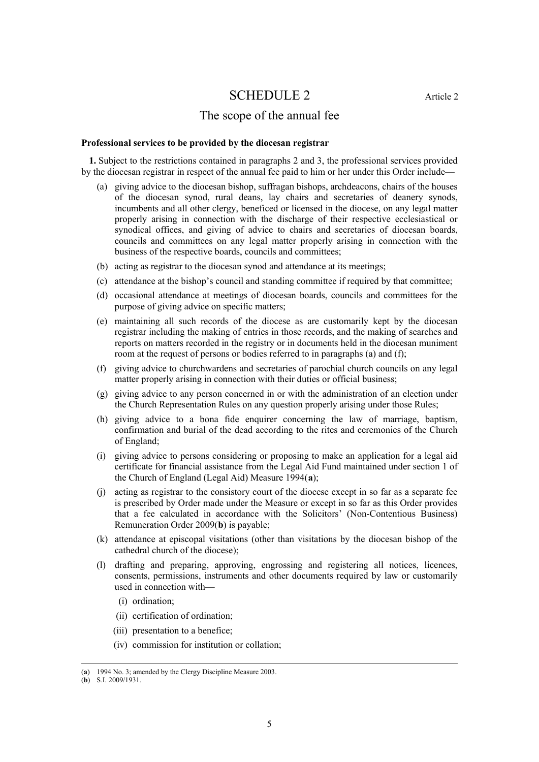## SCHEDULE 2 Article 2

## The scope of the annual fee

#### **Professional services to be provided by the diocesan registrar**

**1.** Subject to the restrictions contained in paragraphs 2 and 3, the professional services provided by the diocesan registrar in respect of the annual fee paid to him or her under this Order include—

- (a) giving advice to the diocesan bishop, suffragan bishops, archdeacons, chairs of the houses of the diocesan synod, rural deans, lay chairs and secretaries of deanery synods, incumbents and all other clergy, beneficed or licensed in the diocese, on any legal matter properly arising in connection with the discharge of their respective ecclesiastical or synodical offices, and giving of advice to chairs and secretaries of diocesan boards, councils and committees on any legal matter properly arising in connection with the business of the respective boards, councils and committees;
- (b) acting as registrar to the diocesan synod and attendance at its meetings;
- (c) attendance at the bishop's council and standing committee if required by that committee;
- (d) occasional attendance at meetings of diocesan boards, councils and committees for the purpose of giving advice on specific matters;
- (e) maintaining all such records of the diocese as are customarily kept by the diocesan registrar including the making of entries in those records, and the making of searches and reports on matters recorded in the registry or in documents held in the diocesan muniment room at the request of persons or bodies referred to in paragraphs (a) and (f);
- (f) giving advice to churchwardens and secretaries of parochial church councils on any legal matter properly arising in connection with their duties or official business;
- (g) giving advice to any person concerned in or with the administration of an election under the Church Representation Rules on any question properly arising under those Rules;
- (h) giving advice to a bona fide enquirer concerning the law of marriage, baptism, confirmation and burial of the dead according to the rites and ceremonies of the Church of England;
- (i) giving advice to persons considering or proposing to make an application for a legal aid certificate for financial assistance from the Legal Aid Fund maintained under section 1 of the Church of England (Legal Aid) Measure 1994(**[a](#page-4-0)**);
- (j) acting as registrar to the consistory court of the diocese except in so far as a separate fee is prescribed by Order made under the Measure or except in so far as this Order provides that a fee calculated in accordance with the Solicitors' (Non-Contentious Business) Remuneration Order 2009(**[b](#page-4-1)**) is payable;
- (k) attendance at episcopal visitations (other than visitations by the diocesan bishop of the cathedral church of the diocese);
- (l) drafting and preparing, approving, engrossing and registering all notices, licences, consents, permissions, instruments and other documents required by law or customarily used in connection with—
	- (i) ordination;
	- (ii) certification of ordination;
	- (iii) presentation to a benefice;
	- (iv) commission for institution or collation;

<sup>(</sup>**a**) 1994 No. 3; amended by the Clergy Discipline Measure 2003.

<span id="page-4-1"></span><span id="page-4-0"></span><sup>(</sup>**b**) S.I. 2009/1931.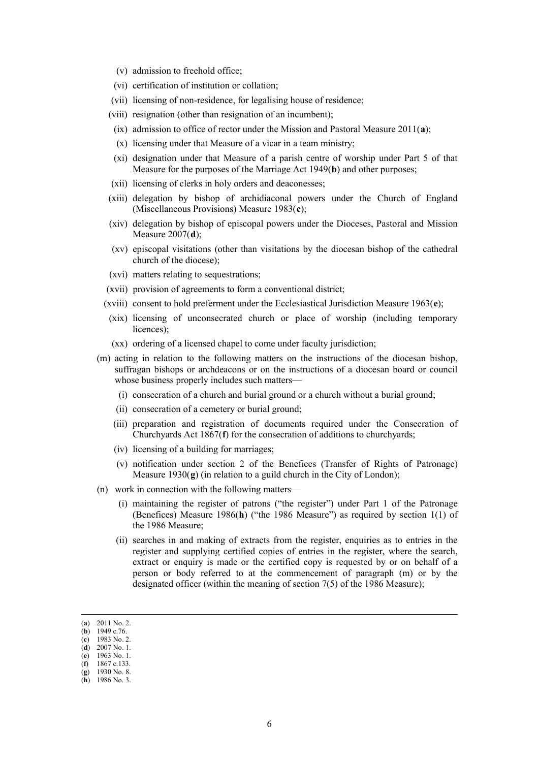- (v) admission to freehold office;
- (vi) certification of institution or collation;
- (vii) licensing of non-residence, for legalising house of residence;
- (viii) resignation (other than resignation of an incumbent);
- (ix) admission to office of rector under the Mission and Pastoral Measure 2011(**[a](#page-5-0)**);
- (x) licensing under that Measure of a vicar in a team ministry;
- (xi) designation under that Measure of a parish centre of worship under Part 5 of that Measure for the purposes of the Marriage Act 1949(**[b](#page-5-1)**) and other purposes;
- (xii) licensing of clerks in holy orders and deaconesses;
- (xiii) delegation by bishop of archidiaconal powers under the Church of England (Miscellaneous Provisions) Measure 1983(**[c](#page-5-2)**);
- (xiv) delegation by bishop of episcopal powers under the Dioceses, Pastoral and Mission Measure 2007(**[d](#page-5-3)**);
- (xv) episcopal visitations (other than visitations by the diocesan bishop of the cathedral church of the diocese);
- (xvi) matters relating to sequestrations;
- (xvii) provision of agreements to form a conventional district;
- (xviii) consent to hold preferment under the Ecclesiastical Jurisdiction Measure 1963(**[e](#page-5-4)**);
- (xix) licensing of unconsecrated church or place of worship (including temporary licences);
- (xx) ordering of a licensed chapel to come under faculty jurisdiction;
- (m) acting in relation to the following matters on the instructions of the diocesan bishop, suffragan bishops or archdeacons or on the instructions of a diocesan board or council whose business properly includes such matters—
	- (i) consecration of a church and burial ground or a church without a burial ground;
	- (ii) consecration of a cemetery or burial ground;
	- (iii) preparation and registration of documents required under the Consecration of Churchyards Act 1867(**[f](#page-5-5)**) for the consecration of additions to churchyards;
	- (iv) licensing of a building for marriages;
	- (v) notification under section 2 of the Benefices (Transfer of Rights of Patronage) Measure 1930(**[g](#page-5-6)**) (in relation to a guild church in the City of London);
- (n) work in connection with the following matters—
	- (i) maintaining the register of patrons ("the register") under Part 1 of the Patronage (Benefices) Measure 1986(**[h](#page-5-7)**) ("the 1986 Measure") as required by section 1(1) of the 1986 Measure;
	- (ii) searches in and making of extracts from the register, enquiries as to entries in the register and supplying certified copies of entries in the register, where the search, extract or enquiry is made or the certified copy is requested by or on behalf of a person or body referred to at the commencement of paragraph (m) or by the designated officer (within the meaning of section 7(5) of the 1986 Measure);

<span id="page-5-0"></span><sup>(</sup>**a**) 2011 No. 2.

<span id="page-5-1"></span><sup>(</sup>**b**) 1949 c.76. (**c**) 1983 No. 2.

<span id="page-5-3"></span><span id="page-5-2"></span><sup>(</sup>**d**) 2007 No. 1.

<sup>(</sup>**e**) 1963 No. 1.

<span id="page-5-5"></span><span id="page-5-4"></span><sup>(</sup>**f**) 1867 c.133.

<span id="page-5-6"></span><sup>(</sup>**g**) 1930 No. 8.

<span id="page-5-7"></span><sup>(</sup>**h**) 1986 No. 3.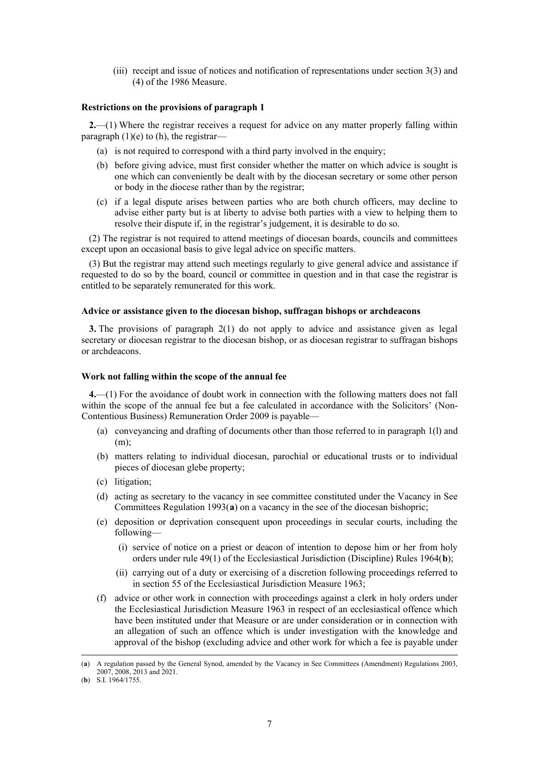(iii) receipt and issue of notices and notification of representations under section 3(3) and (4) of the 1986 Measure.

#### **Restrictions on the provisions of paragraph 1**

**2.**—(1) Where the registrar receives a request for advice on any matter properly falling within paragraph (1)(e) to (h), the registrar—

- (a) is not required to correspond with a third party involved in the enquiry;
- (b) before giving advice, must first consider whether the matter on which advice is sought is one which can conveniently be dealt with by the diocesan secretary or some other person or body in the diocese rather than by the registrar;
- (c) if a legal dispute arises between parties who are both church officers, may decline to advise either party but is at liberty to advise both parties with a view to helping them to resolve their dispute if, in the registrar's judgement, it is desirable to do so.

(2) The registrar is not required to attend meetings of diocesan boards, councils and committees except upon an occasional basis to give legal advice on specific matters.

(3) But the registrar may attend such meetings regularly to give general advice and assistance if requested to do so by the board, council or committee in question and in that case the registrar is entitled to be separately remunerated for this work.

#### **Advice or assistance given to the diocesan bishop, suffragan bishops or archdeacons**

**3.** The provisions of paragraph 2(1) do not apply to advice and assistance given as legal secretary or diocesan registrar to the diocesan bishop, or as diocesan registrar to suffragan bishops or archdeacons.

#### **Work not falling within the scope of the annual fee**

**4.**—(1) For the avoidance of doubt work in connection with the following matters does not fall within the scope of the annual fee but a fee calculated in accordance with the Solicitors' (Non-Contentious Business) Remuneration Order 2009 is payable—

- (a) conveyancing and drafting of documents other than those referred to in paragraph 1(l) and (m);
- (b) matters relating to individual diocesan, parochial or educational trusts or to individual pieces of diocesan glebe property;
- (c) litigation;
- (d) acting as secretary to the vacancy in see committee constituted under the Vacancy in See Committees Regulation 1993(**[a](#page-6-0)**) on a vacancy in the see of the diocesan bishopric;
- (e) deposition or deprivation consequent upon proceedings in secular courts, including the following—
	- (i) service of notice on a priest or deacon of intention to depose him or her from holy orders under rule 49(1) of the Ecclesiastical Jurisdiction (Discipline) Rules 1964(**[b](#page-6-1)**);
	- (ii) carrying out of a duty or exercising of a discretion following proceedings referred to in section 55 of the Ecclesiastical Jurisdiction Measure 1963;
- (f) advice or other work in connection with proceedings against a clerk in holy orders under the Ecclesiastical Jurisdiction Measure 1963 in respect of an ecclesiastical offence which have been instituted under that Measure or are under consideration or in connection with an allegation of such an offence which is under investigation with the knowledge and approval of the bishop (excluding advice and other work for which a fee is payable under

<span id="page-6-0"></span><sup>(</sup>**a**) A regulation passed by the General Synod, amended by the Vacancy in See Committees (Amendment) Regulations 2003, 2007, 2008, 2013 and 2021.

<span id="page-6-1"></span><sup>(</sup>**b**) S.I. 1964/1755.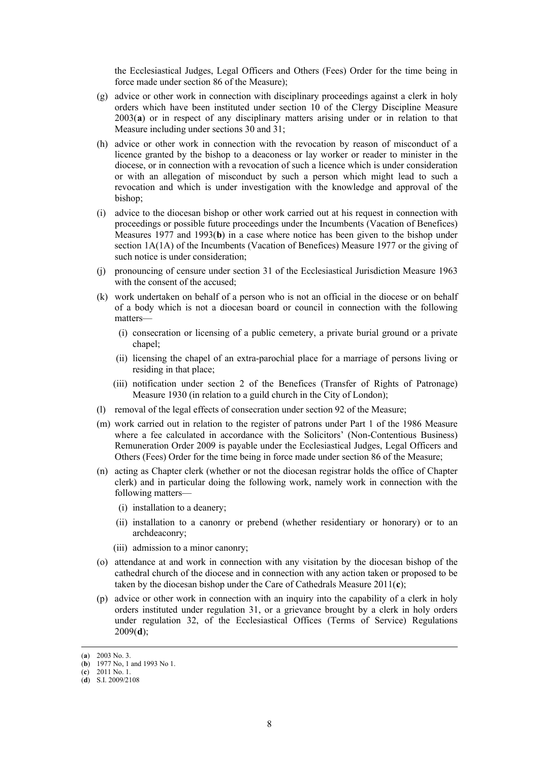the Ecclesiastical Judges, Legal Officers and Others (Fees) Order for the time being in force made under section 86 of the Measure);

- (g) advice or other work in connection with disciplinary proceedings against a clerk in holy orders which have been instituted under section 10 of the Clergy Discipline Measure 2003(**[a](#page-7-0)**) or in respect of any disciplinary matters arising under or in relation to that Measure including under sections 30 and 31;
- (h) advice or other work in connection with the revocation by reason of misconduct of a licence granted by the bishop to a deaconess or lay worker or reader to minister in the diocese, or in connection with a revocation of such a licence which is under consideration or with an allegation of misconduct by such a person which might lead to such a revocation and which is under investigation with the knowledge and approval of the bishop;
- (i) advice to the diocesan bishop or other work carried out at his request in connection with proceedings or possible future proceedings under the Incumbents (Vacation of Benefices) Measures 1977 and 1993(**[b](#page-7-1)**) in a case where notice has been given to the bishop under section 1A(1A) of the Incumbents (Vacation of Benefices) Measure 1977 or the giving of such notice is under consideration;
- (j) pronouncing of censure under section 31 of the Ecclesiastical Jurisdiction Measure 1963 with the consent of the accused;
- (k) work undertaken on behalf of a person who is not an official in the diocese or on behalf of a body which is not a diocesan board or council in connection with the following matters—
	- (i) consecration or licensing of a public cemetery, a private burial ground or a private chapel;
	- (ii) licensing the chapel of an extra-parochial place for a marriage of persons living or residing in that place;
	- (iii) notification under section 2 of the Benefices (Transfer of Rights of Patronage) Measure 1930 (in relation to a guild church in the City of London);
- (l) removal of the legal effects of consecration under section 92 of the Measure;
- (m) work carried out in relation to the register of patrons under Part 1 of the 1986 Measure where a fee calculated in accordance with the Solicitors' (Non-Contentious Business) Remuneration Order 2009 is payable under the Ecclesiastical Judges, Legal Officers and Others (Fees) Order for the time being in force made under section 86 of the Measure;
- (n) acting as Chapter clerk (whether or not the diocesan registrar holds the office of Chapter clerk) and in particular doing the following work, namely work in connection with the following matters—
	- (i) installation to a deanery;
	- (ii) installation to a canonry or prebend (whether residentiary or honorary) or to an archdeaconry;
	- (iii) admission to a minor canonry;
- (o) attendance at and work in connection with any visitation by the diocesan bishop of the cathedral church of the diocese and in connection with any action taken or proposed to be taken by the diocesan bishop under the Care of Cathedrals Measure 2011(**[c](#page-7-2)**);
- (p) advice or other work in connection with an inquiry into the capability of a clerk in holy orders instituted under regulation 31, or a grievance brought by a clerk in holy orders under regulation 32, of the Ecclesiastical Offices (Terms of Service) Regulations 2009(**[d](#page-7-3)**);

<span id="page-7-0"></span><sup>(</sup>**a**) 2003 No. 3.

<span id="page-7-1"></span><sup>(</sup>**b**) 1977 No, 1 and 1993 No 1.

<sup>(</sup>**c**) 2011 No. 1.

<span id="page-7-3"></span><span id="page-7-2"></span><sup>(</sup>**d**) S.I. 2009/2108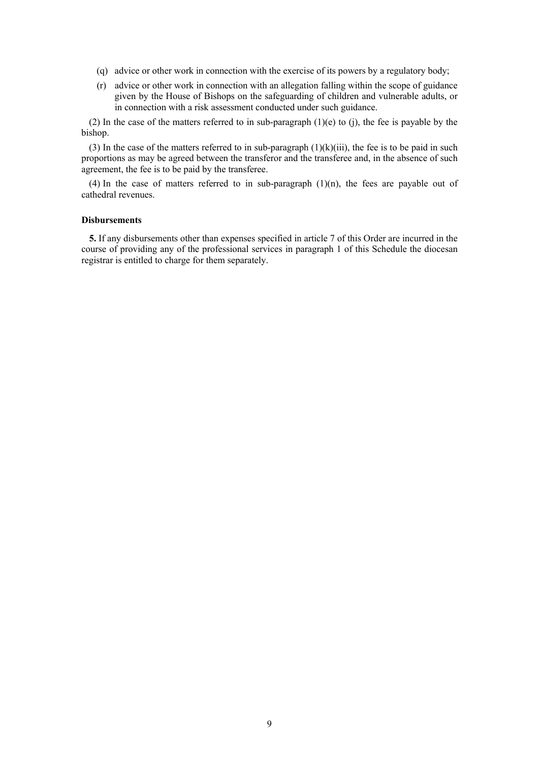- (q) advice or other work in connection with the exercise of its powers by a regulatory body;
- (r) advice or other work in connection with an allegation falling within the scope of guidance given by the House of Bishops on the safeguarding of children and vulnerable adults, or in connection with a risk assessment conducted under such guidance.

(2) In the case of the matters referred to in sub-paragraph  $(1)(e)$  to (j), the fee is payable by the bishop.

(3) In the case of the matters referred to in sub-paragraph  $(1)(k)(iii)$ , the fee is to be paid in such proportions as may be agreed between the transferor and the transferee and, in the absence of such agreement, the fee is to be paid by the transferee.

(4) In the case of matters referred to in sub-paragraph  $(1)(n)$ , the fees are payable out of cathedral revenues.

## **Disbursements**

**5.** If any disbursements other than expenses specified in article 7 of this Order are incurred in the course of providing any of the professional services in paragraph 1 of this Schedule the diocesan registrar is entitled to charge for them separately.